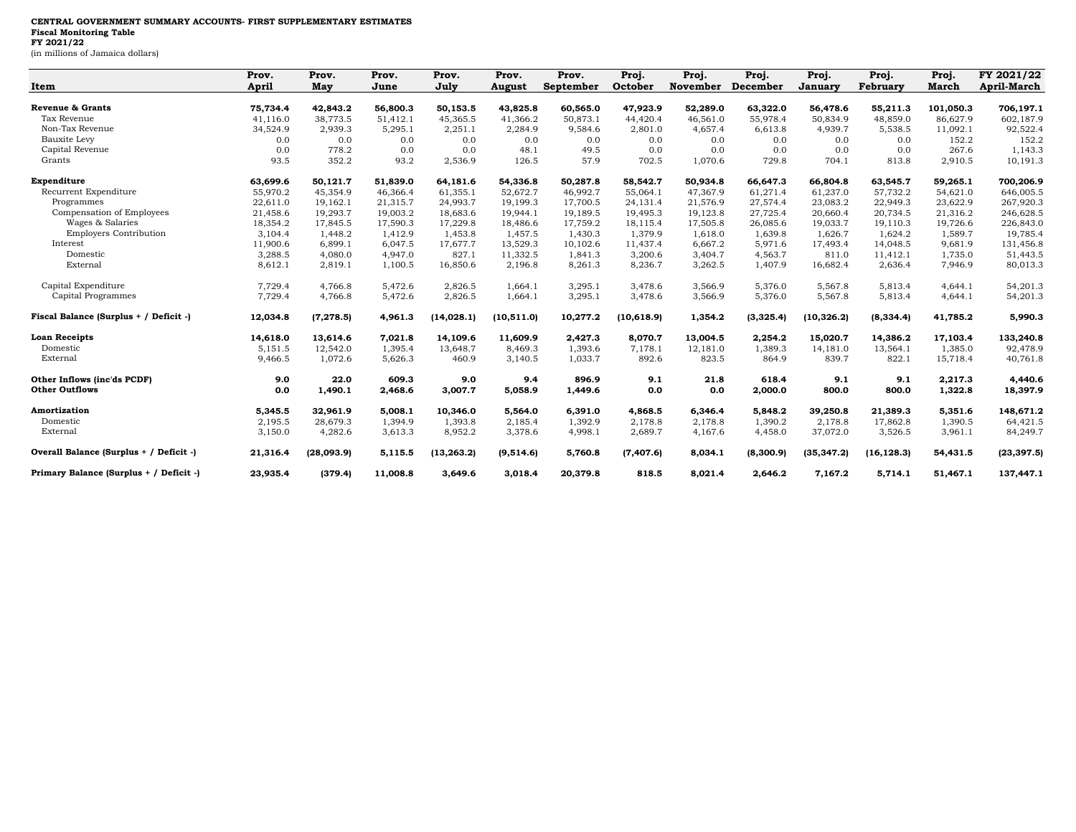## **CENTRAL GOVERNMENT SUMMARY ACCOUNTS- FIRST SUPPLEMENTARY ESTIMATES Fiscal Monitoring Table FY 2021/22**

(in millions of Jamaica dollars)

|                                         | Prov.    | Prov.      | Prov.    | Prov.       | Prov.         | Prov.            | Proj.       | Proj.           | Proj.           | Proj.          | Proj.           | Proj.        | FY 2021/22         |
|-----------------------------------------|----------|------------|----------|-------------|---------------|------------------|-------------|-----------------|-----------------|----------------|-----------------|--------------|--------------------|
| Item                                    | April    | May        | June     | July        | <b>August</b> | <b>September</b> | October     | <b>November</b> | <b>December</b> | <b>January</b> | <b>February</b> | <b>March</b> | <b>April-March</b> |
| <b>Revenue &amp; Grants</b>             | 75,734.4 | 42,843.2   | 56,800.3 | 50,153.5    | 43,825.8      | 60,565.0         | 47,923.9    | 52,289.0        | 63,322.0        | 56,478.6       | 55,211.3        | 101,050.3    | 706,197.1          |
| Tax Revenue                             | 41,116.0 | 38,773.5   | 51,412.1 | 45,365.5    | 41,366.2      | 50,873.1         | 44,420.4    | 46,561.0        | 55,978.4        | 50,834.9       | 48,859.0        | 86,627.9     | 602,187.9          |
| Non-Tax Revenue                         | 34,524.9 | 2,939.3    | 5,295.1  | 2,251.1     | 2,284.9       | 9,584.6          | 2,801.0     | 4,657.4         | 6,613.8         | 4,939.7        | 5,538.5         | 11,092.1     | 92,522.4           |
| Bauxite Levy                            | 0.0      | 0.0        | 0.0      | 0.0         | 0.0           | 0.0              | 0.0         | 0.0             | 0.0             | 0.0            | 0.0             | 152.2        | 152.2              |
| Capital Revenue                         | 0.0      | 778.2      | 0.0      | 0.0         | 48.1          | 49.5             | 0.0         | 0.0             | 0.0             | 0.0            | 0.0             | 267.6        | 1,143.3            |
| Grants                                  | 93.5     | 352.2      | 93.2     | 2,536.9     | 126.5         | 57.9             | 702.5       | 1,070.6         | 729.8           | 704.1          | 813.8           | 2,910.5      | 10,191.3           |
| Expenditure                             | 63,699.6 | 50,121.7   | 51,839.0 | 64,181.6    | 54,336.8      | 50,287.8         | 58,542.7    | 50,934.8        | 66,647.3        | 66,804.8       | 63,545.7        | 59,265.1     | 700,206.9          |
| Recurrent Expenditure                   | 55,970.2 | 45,354.9   | 46,366.4 | 61,355.1    | 52,672.7      | 46,992.7         | 55,064.1    | 47,367.9        | 61,271.4        | 61,237.0       | 57,732.2        | 54,621.0     | 646,005.5          |
| Programmes                              | 22,611.0 | 19,162.1   | 21,315.7 | 24,993.7    | 19,199.3      | 17,700.5         | 24,131.4    | 21,576.9        | 27,574.4        | 23,083.2       | 22,949.3        | 23,622.9     | 267,920.3          |
| Compensation of Employees               | 21,458.6 | 19,293.7   | 19,003.2 | 18,683.6    | 19,944.1      | 19,189.5         | 19,495.3    | 19,123.8        | 27,725.4        | 20,660.4       | 20,734.5        | 21,316.2     | 246,628.5          |
| Wages & Salaries                        | 18,354.2 | 17,845.5   | 17,590.3 | 17,229.8    | 18,486.6      | 17,759.2         | 18,115.4    | 17,505.8        | 26,085.6        | 19,033.7       | 19,110.3        | 19,726.6     | 226,843.0          |
| <b>Employers Contribution</b>           | 3,104.4  | 1,448.2    | 1,412.9  | 1,453.8     | 1,457.5       | 1,430.3          | 1,379.9     | 1,618.0         | 1,639.8         | 1,626.7        | 1,624.2         | 1,589.7      | 19,785.4           |
| Interest                                | 11,900.6 | 6,899.1    | 6,047.5  | 17,677.7    | 13,529.3      | 10,102.6         | 11,437.4    | 6,667.2         | 5,971.6         | 17,493.4       | 14,048.5        | 9,681.9      | 131,456.8          |
| Domestic                                | 3,288.5  | 4,080.0    | 4,947.0  | 827.1       | 11,332.5      | 1,841.3          | 3,200.6     | 3,404.7         | 4,563.7         | 811.0          | 11,412.1        | 1,735.0      | 51,443.5           |
| External                                | 8,612.1  | 2,819.1    | 1,100.5  | 16,850.6    | 2,196.8       | 8,261.3          | 8,236.7     | 3,262.5         | 1,407.9         | 16,682.4       | 2,636.4         | 7,946.9      | 80,013.3           |
| Capital Expenditure                     | 7,729.4  | 4,766.8    | 5,472.6  | 2,826.5     | 1,664.1       | 3,295.1          | 3,478.6     | 3,566.9         | 5,376.0         | 5,567.8        | 5,813.4         | 4,644.1      | 54,201.3           |
| Capital Programmes                      | 7,729.4  | 4,766.8    | 5,472.6  | 2,826.5     | 1,664.1       | 3,295.1          | 3,478.6     | 3,566.9         | 5,376.0         | 5,567.8        | 5,813.4         | 4,644.1      | 54,201.3           |
| Fiscal Balance (Surplus + / Deficit -)  | 12,034.8 | (7, 278.5) | 4,961.3  | (14.028.1)  | (10, 511.0)   | 10,277.2         | (10, 618.9) | 1,354.2         | (3,325.4)       | (10, 326.2)    | (8, 334.4)      | 41,785.2     | 5,990.3            |
| <b>Loan Receipts</b>                    | 14,618.0 | 13.614.6   | 7,021.8  | 14,109.6    | 11.609.9      | 2,427.3          | 8,070.7     | 13,004.5        | 2,254.2         | 15,020.7       | 14,386.2        | 17.103.4     | 133,240.8          |
| Domestic                                | 5,151.5  | 12,542.0   | 1,395.4  | 13,648.7    | 8,469.3       | 1,393.6          | 7,178.1     | 12,181.0        | 1,389.3         | 14,181.0       | 13,564.1        | 1,385.0      | 92,478.9           |
| External                                | 9,466.5  | 1.072.6    | 5,626.3  | 460.9       | 3,140.5       | 1,033.7          | 892.6       | 823.5           | 864.9           | 839.7          | 822.1           | 15,718.4     | 40,761.8           |
| Other Inflows (inc'ds PCDF)             | 9.0      | 22.0       | 609.3    | 9.0         | 9.4           | 896.9            | 9.1         | 21.8            | 618.4           | 9.1            | 9.1             | 2,217.3      | 4,440.6            |
| <b>Other Outflows</b>                   | 0.0      | 1,490.1    | 2,468.6  | 3,007.7     | 5,058.9       | 1,449.6          | 0.0         | 0.0             | 2,000.0         | 800.0          | 800.0           | 1,322.8      | 18,397.9           |
| Amortization                            | 5,345.5  | 32,961.9   | 5,008.1  | 10,346.0    | 5,564.0       | 6,391.0          | 4,868.5     | 6,346.4         | 5,848.2         | 39,250.8       | 21,389.3        | 5,351.6      | 148,671.2          |
| Domestic                                | 2,195.5  | 28,679.3   | 1,394.9  | 1,393.8     | 2,185.4       | 1,392.9          | 2,178.8     | 2,178.8         | 1,390.2         | 2,178.8        | 17,862.8        | 1,390.5      | 64,421.5           |
| External                                | 3,150.0  | 4,282.6    | 3,613.3  | 8,952.2     | 3,378.6       | 4,998.1          | 2,689.7     | 4,167.6         | 4,458.0         | 37,072.0       | 3,526.5         | 3,961.1      | 84,249.7           |
| Overall Balance (Surplus + / Deficit -) | 21,316.4 | (28,093.9) | 5,115.5  | (13, 263.2) | (9, 514.6)    | 5,760.8          | (7, 407.6)  | 8,034.1         | (8,300.9)       | (35, 347.2)    | (16, 128.3)     | 54,431.5     | (23, 397.5)        |
| Primary Balance (Surplus + / Deficit -) | 23,935.4 | (379.4)    | 11,008.8 | 3,649.6     | 3,018.4       | 20,379.8         | 818.5       | 8,021.4         | 2,646.2         | 7,167.2        | 5,714.1         | 51,467.1     | 137,447.1          |